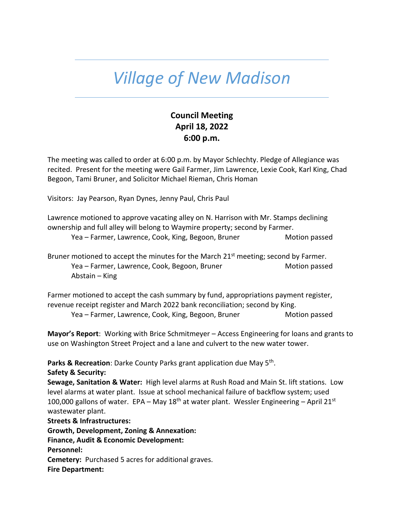## *Village of New Madison*

## **Council Meeting April 18, 2022 6:00 p.m.**

The meeting was called to order at 6:00 p.m. by Mayor Schlechty. Pledge of Allegiance was recited. Present for the meeting were Gail Farmer, Jim Lawrence, Lexie Cook, Karl King, Chad Begoon, Tami Bruner, and Solicitor Michael Rieman, Chris Homan

Visitors: Jay Pearson, Ryan Dynes, Jenny Paul, Chris Paul

Lawrence motioned to approve vacating alley on N. Harrison with Mr. Stamps declining ownership and full alley will belong to Waymire property; second by Farmer.

Yea – Farmer, Lawrence, Cook, King, Begoon, Bruner Motion passed

Bruner motioned to accept the minutes for the March  $21<sup>st</sup>$  meeting; second by Farmer. Yea – Farmer, Lawrence, Cook, Begoon, Bruner Motion passed Motion passed Abstain – King

Farmer motioned to accept the cash summary by fund, appropriations payment register, revenue receipt register and March 2022 bank reconciliation; second by King.

Yea – Farmer, Lawrence, Cook, King, Begoon, Bruner Motion passed

**Mayor's Report**: Working with Brice Schmitmeyer – Access Engineering for loans and grants to use on Washington Street Project and a lane and culvert to the new water tower.

Parks & Recreation: Darke County Parks grant application due May 5<sup>th</sup>.

**Safety & Security:**

**Sewage, Sanitation & Water:** High level alarms at Rush Road and Main St. lift stations. Low level alarms at water plant. Issue at school mechanical failure of backflow system; used 100,000 gallons of water. EPA – May 18<sup>th</sup> at water plant. Wessler Engineering – April 21<sup>st</sup> wastewater plant.

**Streets & Infrastructures:** 

**Growth, Development, Zoning & Annexation: Finance, Audit & Economic Development: Personnel: Cemetery:** Purchased 5 acres for additional graves. **Fire Department:**